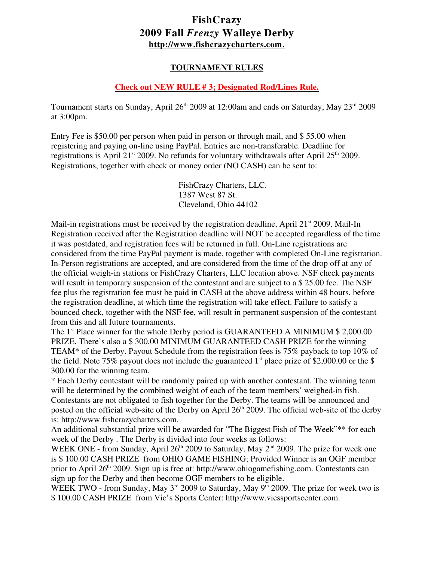# **FishCrazy 2009 Fall** *Frenzy* **Walleye Derby <http://www.fishcrazycharters.com.>**

## **TOURNAMENT RULES**

### **Check out NEW RULE # 3; Designated Rod/Lines Rule.**

Tournament starts on Sunday, April 26<sup>th</sup> 2009 at 12:00am and ends on Saturday, May 23<sup>rd</sup> 2009 at 3:00pm.

Entry Fee is \$50.00 per person when paid in person or through mail, and \$ 55.00 when registering and paying on-line using PayPal. Entries are non-transferable. Deadline for registrations is April 21<sup>st</sup> 2009. No refunds for voluntary withdrawals after April 25<sup>th</sup> 2009. Registrations, together with check or money order (NO CASH) can be sent to:

> FishCrazy Charters, LLC. 1387 West 87 St. Cleveland, Ohio 44102

Mail-in registrations must be received by the registration deadline, April  $21^{st}$  2009. Mail-In Registration received after the Registration deadline will NOT be accepted regardless of the time it was postdated, and registration fees will be returned in full. On-Line registrations are considered from the time PayPal payment is made, together with completed On-Line registration. In-Person registrations are accepted, and are considered from the time of the drop off at any of the official weigh-in stations or FishCrazy Charters, LLC location above. NSF check payments will result in temporary suspension of the contestant and are subject to a \$ 25.00 fee. The NSF fee plus the registration fee must be paid in CASH at the above address within 48 hours, before the registration deadline, at which time the registration will take effect. Failure to satisfy a bounced check, together with the NSF fee, will result in permanent suspension of the contestant from this and all future tournaments.

The 1<sup>st</sup> Place winner for the whole Derby period is GUARANTEED A MINIMUM  $$ 2,000.00$ PRIZE. There's also a \$ 300.00 MINIMUM GUARANTEED CASH PRIZE for the winning TEAM\* of the Derby. Payout Schedule from the registration fees is 75% payback to top 10% of the field. Note 75% payout does not include the guaranteed  $1<sup>st</sup>$  place prize of \$2,000.00 or the \$ 300.00 for the winning team.

\* Each Derby contestant will be randomly paired up with another contestant. The winning team will be determined by the combined weight of each of the team members' weighed-in fish. Contestants are not obligated to fish together for the Derby. The teams will be announced and posted on the official web-site of the Derby on April  $26<sup>th</sup>$  2009. The official web-site of the derby is: [http://www.fishcrazycharters.com.](http://fishcrazycharters.com.)

An additional substantial prize will be awarded for "The Biggest Fish of The Week"\*\* for each week of the Derby . The Derby is divided into four weeks as follows:

WEEK ONE - from Sunday, April  $26<sup>th</sup>$  2009 to Saturday, May  $2<sup>nd</sup>$  2009. The prize for week one is \$ 100.00 CASH PRIZE from OHIO GAME FISHING; Provided Winner is an OGF member prior to April 26<sup>th</sup> 2009. Sign up is free at:<http://www.ohiogamefishing.com.> Contestants can sign up for the Derby and then become OGF members to be eligible.

WEEK TWO - from Sunday, May  $3<sup>rd</sup>$  2009 to Saturday, May 9<sup>th</sup> 2009. The prize for week two is \$ 100.00 CASH PRIZE from Vic's Sports Center:<http://www.vicssportscenter.com.>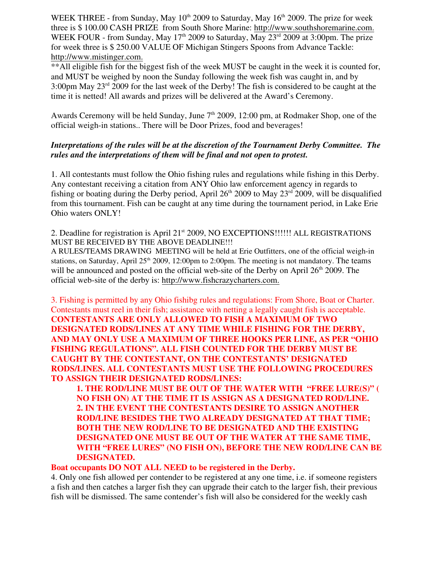WEEK THREE - from Sunday, May  $10^{th}$  2009 to Saturday, May  $16^{th}$  2009. The prize for week three is \$ 100.00 CASH PRIZE from South Shore Marine:<http://www.southshoremarine.com.> WEEK FOUR - from Sunday, May 17<sup>th</sup> 2009 to Saturday, May 23<sup>rd</sup> 2009 at 3:00pm. The prize for week three is \$ 250.00 VALUE OF Michigan Stingers Spoons from Advance Tackle: [http://www.mistinger.com.](http://www.mistinger.com.http://www.mstinger.com)

\*\*All eligible fish for the biggest fish of the week MUST be caught in the week it is counted for, and MUST be weighed by noon the Sunday following the week fish was caught in, and by 3:00pm May  $23<sup>rd</sup>$  2009 for the last week of the Derby! The fish is considered to be caught at the time it is netted! All awards and prizes will be delivered at the Award's Ceremony.

Awards Ceremony will be held Sunday, June 7<sup>th</sup> 2009, 12:00 pm, at Rodmaker Shop, one of the official weigh-in stations.. There will be Door Prizes, food and beverages!

## *Interpretations of the rules will be at the discretion of the Tournament Derby Committee. The rules and the interpretations of them will be final and not open to protest.*

1. All contestants must follow the Ohio fishing rules and regulations while fishing in this Derby. Any contestant receiving a citation from ANY Ohio law enforcement agency in regards to fishing or boating during the Derby period, April  $26<sup>th</sup>$  2009 to May  $23<sup>rd</sup>$  2009, will be disqualified from this tournament. Fish can be caught at any time during the tournament period, in Lake Erie Ohio waters ONLY!

#### 2. Deadline for registration is April 21<sup>st</sup> 2009, NO EXCEPTIONS!!!!!! ALL REGISTRATIONS MUST BE RECEIVED BY THE ABOVE DEADLINE!!!

A RULES/TEAMS DRAWING MEETING will be held at Erie Outfitters, one of the official weigh-in stations, on Saturday, April  $25<sup>th</sup>$  2009, 12:00pm to 2:00pm. The meeting is not mandatory. The teams will be announced and posted on the official web-site of the Derby on April  $26<sup>th</sup> 2009$ . The official web-site of the derby is: [http://www.fishcrazycharters.com.](http://fishcrazycharters.com.)

3. Fishing is permitted by any Ohio fishibg rules and regulations: From Shore, Boat or Charter. Contestants must reel in their fish; assistance with netting a legally caught fish is acceptable. **CONTESTANTS ARE ONLY ALLOWED TO FISH A MAXIMUM OF TWO DESIGNATED RODS/LINES AT ANY TIME WHILE FISHING FOR THE DERBY, AND MAY ONLY USE A MAXIMUM OF THREE HOOKS PER LINE, AS PER "OHIO FISHING REGULATIONS". ALL FISH COUNTED FOR THE DERBY MUST BE CAUGHT BY THE CONTESTANT, ON THE CONTESTANTS' DESIGNATED RODS/LINES. ALL CONTESTANTS MUST USE THE FOLLOWING PROCEDURES TO ASSIGN THEIR DESIGNATED RODS/LINES:**

**1. THE ROD/LINE MUST BE OUT OF THE WATER WITH "FREE LURE(S)" ( NO FISH ON) AT THE TIME IT IS ASSIGN AS A DESIGNATED ROD/LINE. 2. IN THE EVENT THE CONTESTANTS DESIRE TO ASSIGN ANOTHER ROD/LINE BESIDES THE TWO ALREADY DESIGNATED AT THAT TIME; BOTH THE NEW ROD/LINE TO BE DESIGNATED AND THE EXISTING DESIGNATED ONE MUST BE OUT OF THE WATER AT THE SAME TIME, WITH "FREE LURES" (NO FISH ON), BEFORE THE NEW ROD/LINE CAN BE DESIGNATED.**

#### **Boat occupants DO NOT ALL NEED to be registered in the Derby.**

4. Only one fish allowed per contender to be registered at any one time, i.e. if someone registers a fish and then catches a larger fish they can upgrade their catch to the larger fish, their previous fish will be dismissed. The same contender's fish will also be considered for the weekly cash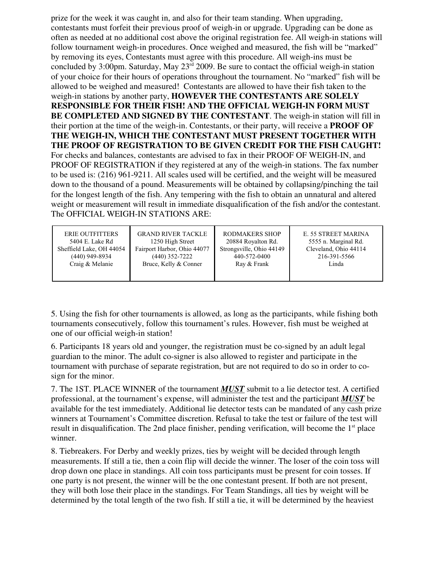prize for the week it was caught in, and also for their team standing. When upgrading, contestants must forfeit their previous proof of weigh-in or upgrade. Upgrading can be done as often as needed at no additional cost above the original registration fee. All weigh-in stations will follow tournament weigh-in procedures. Once weighed and measured, the fish will be "marked" by removing its eyes, Contestants must agree with this procedure. All weigh-ins must be concluded by 3:00pm. Saturday, May  $23<sup>rd</sup>$  2009. Be sure to contact the official weigh-in station of your choice for their hours of operations throughout the tournament. No "marked" fish will be allowed to be weighed and measured! Contestants are allowed to have their fish taken to the weigh-in stations by another party, **HOWEVER THE CONTESTANTS ARE SOLELY RESPONSIBLE FOR THEIR FISH! AND THE OFFICIAL WEIGH-IN FORM MUST BE COMPLETED AND SIGNED BY THE CONTESTANT**. The weigh-in station will fill in their portion at the time of the weigh-in. Contestants, or their party, will receive a **PROOF OF THE WEIGH-IN, WHICH THE CONTESTANT MUST PRESENT TOGETHER WITH THE PROOF OF REGISTRATION TO BE GIVEN CREDIT FOR THE FISH CAUGHT!** For checks and balances, contestants are advised to fax in their PROOF OF WEIGH-IN, and PROOF OF REGISTRATION if they registered at any of the weigh-in stations. The fax number to be used is: (216) 961-9211. All scales used will be certified, and the weight will be measured down to the thousand of a pound. Measurements will be obtained by collapsing/pinching the tail for the longest length of the fish. Any tempering with the fish to obtain an unnatural and altered weight or measurement will result in immediate disqualification of the fish and/or the contestant. The OFFICIAL WEIGH-IN STATIONS ARE:

| <b>ERIE OUTFITTERS</b><br>5404 E. Lake Rd | <b>GRAND RIVER TACKLE</b><br>1250 High Street | <b>RODMAKERS SHOP</b><br>20884 Royalton Rd. | E. 55 STREET MARINA<br>5555 n. Marginal Rd. |
|-------------------------------------------|-----------------------------------------------|---------------------------------------------|---------------------------------------------|
| Sheffield Lake, OH 44054                  | Fairport Harbor, Ohio 44077                   | Strongsville, Ohio 44149                    | Cleveland, Ohio 44114                       |
| $(440)$ 949-8934                          | $(440)$ 352-7222                              | 440-572-0400                                | 216-391-5566                                |
| Craig & Melanie                           | Bruce, Kelly & Conner                         | Ray & Frank                                 | Linda                                       |
|                                           |                                               |                                             |                                             |

5. Using the fish for other tournaments is allowed, as long as the participants, while fishing both tournaments consecutively, follow this tournament's rules. However, fish must be weighed at one of our official weigh-in station!

6. Participants 18 years old and younger, the registration must be co-signed by an adult legal guardian to the minor. The adult co-signer is also allowed to register and participate in the tournament with purchase of separate registration, but are not required to do so in order to cosign for the minor.

7. The 1ST. PLACE WINNER of the tournament *MUST* submit to a lie detector test. A certified professional, at the tournament's expense, will administer the test and the participant *MUST* be available for the test immediately. Additional lie detector tests can be mandated of any cash prize winners at Tournament's Committee discretion. Refusal to take the test or failure of the test will result in disqualification. The 2nd place finisher, pending verification, will become the  $1<sup>st</sup>$  place winner.

8. Tiebreakers. For Derby and weekly prizes, ties by weight will be decided through length measurements. If still a tie, then a coin flip will decide the winner. The loser of the coin toss will drop down one place in standings. All coin toss participants must be present for coin tosses. If one party is not present, the winner will be the one contestant present. If both are not present, they will both lose their place in the standings. For Team Standings, all ties by weight will be determined by the total length of the two fish. If still a tie, it will be determined by the heaviest